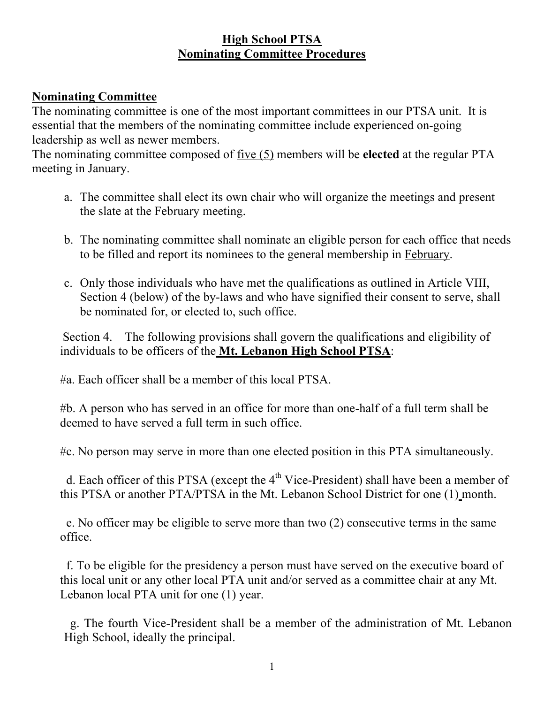# **High School PTSA Nominating Committee Procedures**

# **Nominating Committee**

The nominating committee is one of the most important committees in our PTSA unit. It is essential that the members of the nominating committee include experienced on-going leadership as well as newer members.

The nominating committee composed of five (5) members will be **elected** at the regular PTA meeting in January.

- a. The committee shall elect its own chair who will organize the meetings and present the slate at the February meeting.
- b. The nominating committee shall nominate an eligible person for each office that needs to be filled and report its nominees to the general membership in February.
- c. Only those individuals who have met the qualifications as outlined in Article VIII, Section 4 (below) of the by-laws and who have signified their consent to serve, shall be nominated for, or elected to, such office.

Section 4. The following provisions shall govern the qualifications and eligibility of individuals to be officers of the **Mt. Lebanon High School PTSA**:

#a. Each officer shall be a member of this local PTSA.

#b. A person who has served in an office for more than one-half of a full term shall be deemed to have served a full term in such office.

#c. No person may serve in more than one elected position in this PTA simultaneously.

d. Each officer of this PTSA (except the  $4<sup>th</sup>$  Vice-President) shall have been a member of this PTSA or another PTA/PTSA in the Mt. Lebanon School District for one (1) month.

 e. No officer may be eligible to serve more than two (2) consecutive terms in the same office.

 f. To be eligible for the presidency a person must have served on the executive board of this local unit or any other local PTA unit and/or served as a committee chair at any Mt. Lebanon local PTA unit for one (1) year.

 g. The fourth Vice-President shall be a member of the administration of Mt. Lebanon High School, ideally the principal.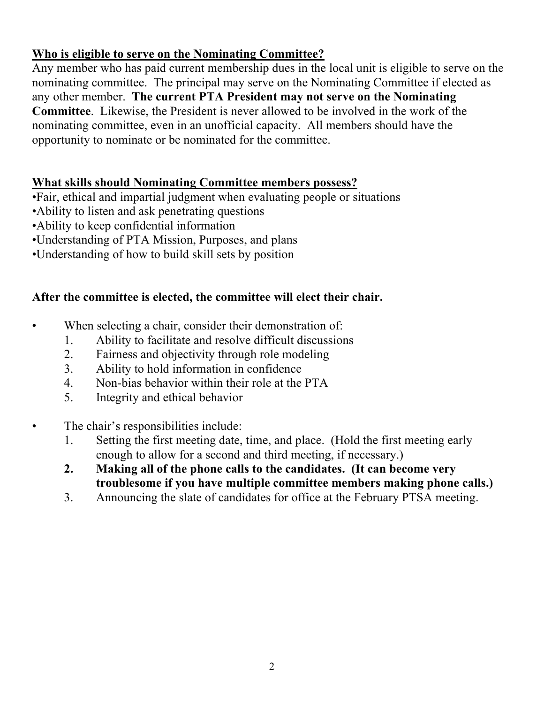# **Who is eligible to serve on the Nominating Committee?**

Any member who has paid current membership dues in the local unit is eligible to serve on the nominating committee. The principal may serve on the Nominating Committee if elected as any other member. **The current PTA President may not serve on the Nominating Committee**. Likewise, the President is never allowed to be involved in the work of the nominating committee, even in an unofficial capacity. All members should have the opportunity to nominate or be nominated for the committee.

# **What skills should Nominating Committee members possess?**

•Fair, ethical and impartial judgment when evaluating people or situations

- •Ability to listen and ask penetrating questions
- •Ability to keep confidential information
- •Understanding of PTA Mission, Purposes, and plans
- •Understanding of how to build skill sets by position

# **After the committee is elected, the committee will elect their chair.**

- When selecting a chair, consider their demonstration of:
	- 1. Ability to facilitate and resolve difficult discussions
	- 2. Fairness and objectivity through role modeling
	- 3. Ability to hold information in confidence
	- 4. Non-bias behavior within their role at the PTA
	- 5. Integrity and ethical behavior
- The chair's responsibilities include:
	- 1. Setting the first meeting date, time, and place. (Hold the first meeting early enough to allow for a second and third meeting, if necessary.)
	- **2. Making all of the phone calls to the candidates. (It can become very troublesome if you have multiple committee members making phone calls.)**
	- 3. Announcing the slate of candidates for office at the February PTSA meeting.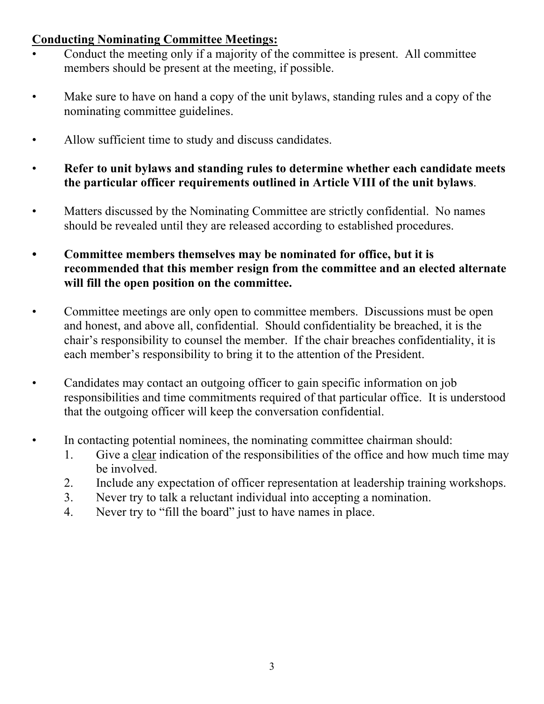# **Conducting Nominating Committee Meetings:**

- Conduct the meeting only if a majority of the committee is present. All committee members should be present at the meeting, if possible.
- Make sure to have on hand a copy of the unit bylaws, standing rules and a copy of the nominating committee guidelines.
- Allow sufficient time to study and discuss candidates.
- **Refer to unit bylaws and standing rules to determine whether each candidate meets the particular officer requirements outlined in Article VIII of the unit bylaws**.
- Matters discussed by the Nominating Committee are strictly confidential. No names should be revealed until they are released according to established procedures.
- *•* **Committee members themselves may be nominated for office, but it is recommended that this member resign from the committee and an elected alternate will fill the open position on the committee.**
- Committee meetings are only open to committee members. Discussions must be open and honest, and above all, confidential. Should confidentiality be breached, it is the chair's responsibility to counsel the member. If the chair breaches confidentiality, it is each member's responsibility to bring it to the attention of the President.
- Candidates may contact an outgoing officer to gain specific information on job responsibilities and time commitments required of that particular office. It is understood that the outgoing officer will keep the conversation confidential.
- In contacting potential nominees, the nominating committee chairman should:
	- 1. Give a clear indication of the responsibilities of the office and how much time may be involved.
	- 2. Include any expectation of officer representation at leadership training workshops.
	- 3. Never try to talk a reluctant individual into accepting a nomination.
	- 4. Never try to "fill the board" just to have names in place.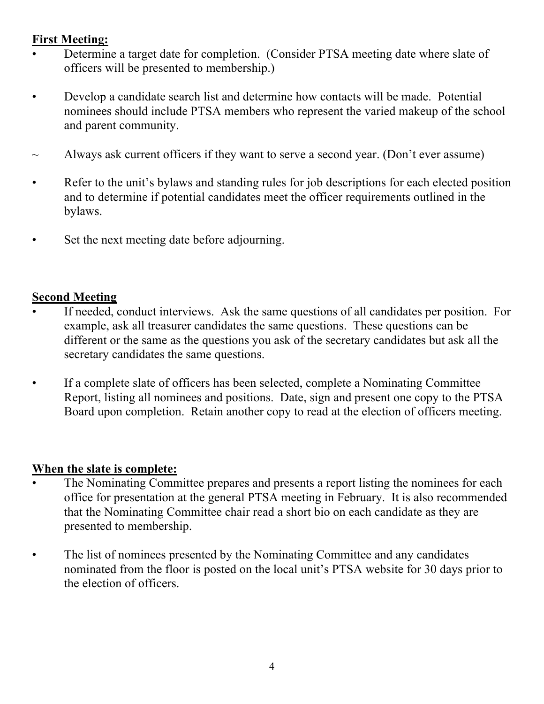## **First Meeting:**

- Determine a target date for completion. (Consider PTSA meeting date where slate of officers will be presented to membership.)
- Develop a candidate search list and determine how contacts will be made. Potential nominees should include PTSA members who represent the varied makeup of the school and parent community.
- $\sim$  Always ask current officers if they want to serve a second year. (Don't ever assume)
- Refer to the unit's bylaws and standing rules for job descriptions for each elected position and to determine if potential candidates meet the officer requirements outlined in the bylaws.
- Set the next meeting date before adjourning.

#### **Second Meeting**

- If needed, conduct interviews. Ask the same questions of all candidates per position. For example, ask all treasurer candidates the same questions. These questions can be different or the same as the questions you ask of the secretary candidates but ask all the secretary candidates the same questions.
- If a complete slate of officers has been selected, complete a Nominating Committee Report, listing all nominees and positions. Date, sign and present one copy to the PTSA Board upon completion. Retain another copy to read at the election of officers meeting.

## **When the slate is complete:**

- The Nominating Committee prepares and presents a report listing the nominees for each office for presentation at the general PTSA meeting in February. It is also recommended that the Nominating Committee chair read a short bio on each candidate as they are presented to membership.
- The list of nominees presented by the Nominating Committee and any candidates nominated from the floor is posted on the local unit's PTSA website for 30 days prior to the election of officers.